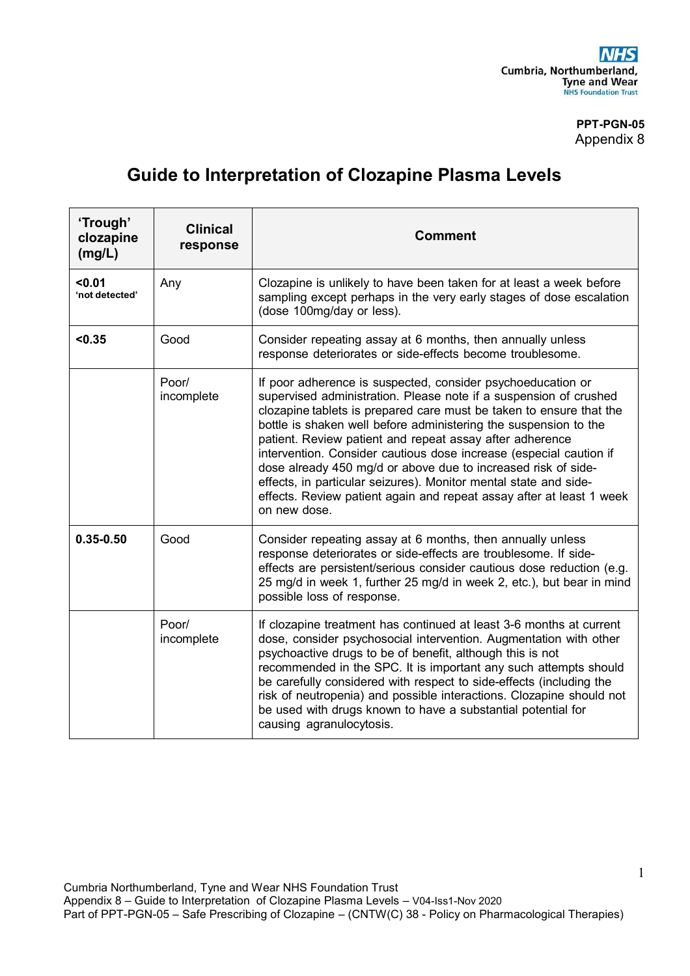## **PPT-PGN-05** Appendix 8

## **Guide to Interpretation of Clozapine Plasma Levels**

| 'Trough'<br>clozapine<br>(mg/L) | <b>Clinical</b><br>response | <b>Comment</b>                                                                                                                                                                                                                                                                                                                                                                                                                                                                                                                                                                                                                             |
|---------------------------------|-----------------------------|--------------------------------------------------------------------------------------------------------------------------------------------------------------------------------------------------------------------------------------------------------------------------------------------------------------------------------------------------------------------------------------------------------------------------------------------------------------------------------------------------------------------------------------------------------------------------------------------------------------------------------------------|
| 0.01<br>'not detected'          | Any                         | Clozapine is unlikely to have been taken for at least a week before<br>sampling except perhaps in the very early stages of dose escalation<br>(dose 100mg/day or less).                                                                                                                                                                                                                                                                                                                                                                                                                                                                    |
| < 0.35                          | Good                        | Consider repeating assay at 6 months, then annually unless<br>response deteriorates or side-effects become troublesome.                                                                                                                                                                                                                                                                                                                                                                                                                                                                                                                    |
|                                 | Poor/<br>incomplete         | If poor adherence is suspected, consider psychoeducation or<br>supervised administration. Please note if a suspension of crushed<br>clozapine tablets is prepared care must be taken to ensure that the<br>bottle is shaken well before administering the suspension to the<br>patient. Review patient and repeat assay after adherence<br>intervention. Consider cautious dose increase (especial caution if<br>dose already 450 mg/d or above due to increased risk of side-<br>effects, in particular seizures). Monitor mental state and side-<br>effects. Review patient again and repeat assay after at least 1 week<br>on new dose. |
| $0.35 - 0.50$                   | Good                        | Consider repeating assay at 6 months, then annually unless<br>response deteriorates or side-effects are troublesome. If side-<br>effects are persistent/serious consider cautious dose reduction (e.g.<br>25 mg/d in week 1, further 25 mg/d in week 2, etc.), but bear in mind<br>possible loss of response.                                                                                                                                                                                                                                                                                                                              |
|                                 | Poor/<br>incomplete         | If clozapine treatment has continued at least 3-6 months at current<br>dose, consider psychosocial intervention. Augmentation with other<br>psychoactive drugs to be of benefit, although this is not<br>recommended in the SPC. It is important any such attempts should<br>be carefully considered with respect to side-effects (including the<br>risk of neutropenia) and possible interactions. Clozapine should not<br>be used with drugs known to have a substantial potential for<br>causing agranulocytosis.                                                                                                                       |